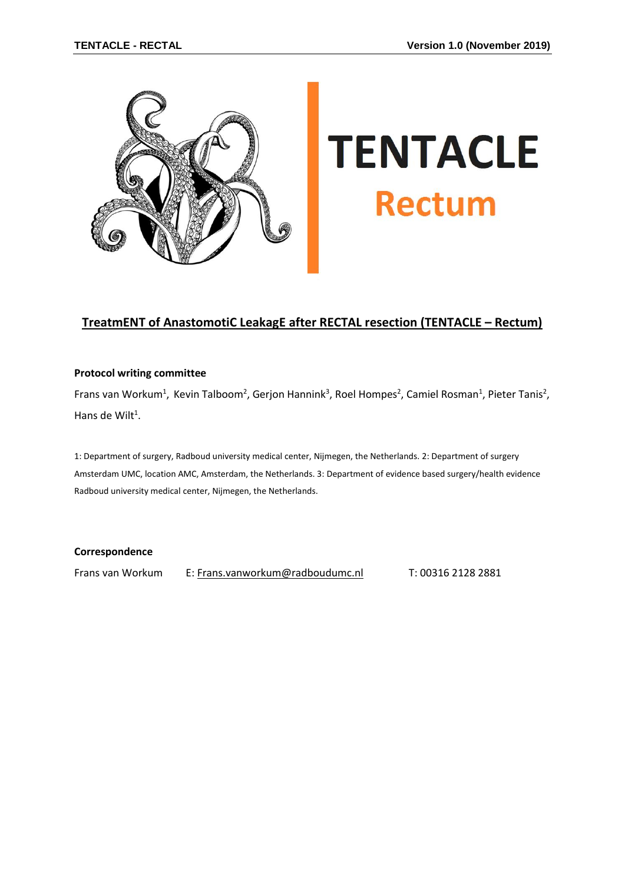

# **TENTACLE Rectum**

## **TreatmENT of AnastomotiC LeakagE after RECTAL resection (TENTACLE – Rectum)**

#### **Protocol writing committee**

Frans van Workum<sup>1</sup>, Kevin Talboom<sup>2</sup>, Gerjon Hannink<sup>3</sup>, Roel Hompes<sup>2</sup>, Camiel Rosman<sup>1</sup>, Pieter Tanis<sup>2</sup>, Hans de Wilt<sup>1</sup>.

1: Department of surgery, Radboud university medical center, Nijmegen, the Netherlands. 2: Department of surgery Amsterdam UMC, location AMC, Amsterdam, the Netherlands. 3: Department of evidence based surgery/health evidence Radboud university medical center, Nijmegen, the Netherlands.

#### **Correspondence**

Frans van Workum E: [Frans.vanworkum@radboudumc.nl](mailto:Frans.vanworkum@radboudumc.nl) T: 00316 2128 2881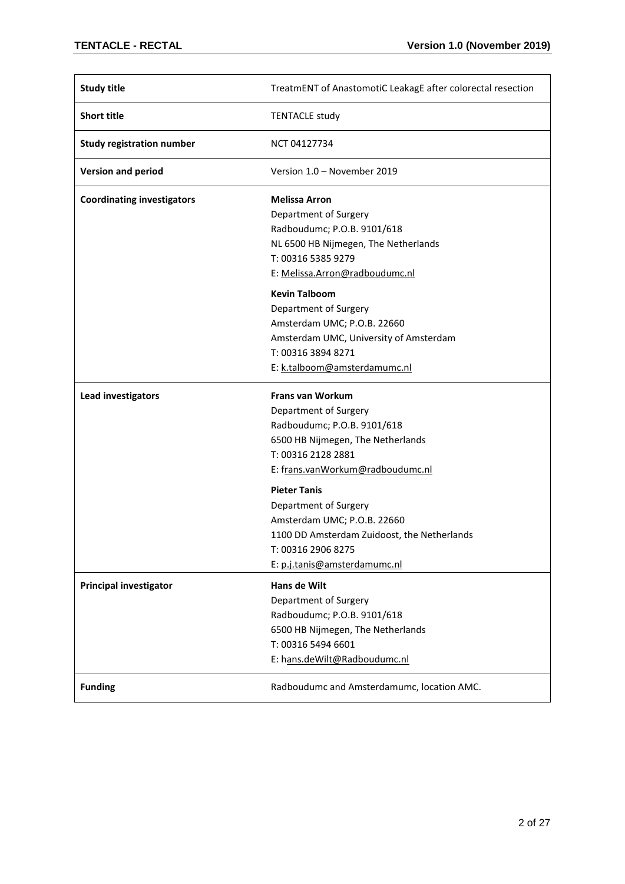| <b>Study title</b>                | TreatmENT of AnastomotiC LeakagE after colorectal resection |
|-----------------------------------|-------------------------------------------------------------|
| <b>Short title</b>                | <b>TENTACLE study</b>                                       |
| <b>Study registration number</b>  | NCT 04127734                                                |
| <b>Version and period</b>         | Version 1.0 - November 2019                                 |
| <b>Coordinating investigators</b> | <b>Melissa Arron</b>                                        |
|                                   | Department of Surgery                                       |
|                                   | Radboudumc; P.O.B. 9101/618                                 |
|                                   | NL 6500 HB Nijmegen, The Netherlands                        |
|                                   | T: 00316 5385 9279                                          |
|                                   | E: Melissa.Arron@radboudumc.nl                              |
|                                   | <b>Kevin Talboom</b>                                        |
|                                   | Department of Surgery                                       |
|                                   | Amsterdam UMC; P.O.B. 22660                                 |
|                                   | Amsterdam UMC, University of Amsterdam                      |
|                                   | T: 00316 3894 8271                                          |
|                                   | E: k.talboom@amsterdamumc.nl                                |
|                                   |                                                             |
| Lead investigators                | <b>Frans van Workum</b>                                     |
|                                   | Department of Surgery                                       |
|                                   | Radboudumc; P.O.B. 9101/618                                 |
|                                   | 6500 HB Nijmegen, The Netherlands                           |
|                                   | T: 00316 2128 2881                                          |
|                                   | E: frans.vanWorkum@radboudumc.nl                            |
|                                   | <b>Pieter Tanis</b>                                         |
|                                   | Department of Surgery                                       |
|                                   | Amsterdam UMC; P.O.B. 22660                                 |
|                                   | 1100 DD Amsterdam Zuidoost, the Netherlands                 |
|                                   | T: 00316 2906 8275                                          |
|                                   | E: p.j.tanis@amsterdamumc.nl                                |
| <b>Principal investigator</b>     | Hans de Wilt                                                |
|                                   | Department of Surgery                                       |
|                                   | Radboudumc; P.O.B. 9101/618                                 |
|                                   | 6500 HB Nijmegen, The Netherlands                           |
|                                   | T: 00316 5494 6601                                          |
|                                   | E: hans.deWilt@Radboudumc.nl                                |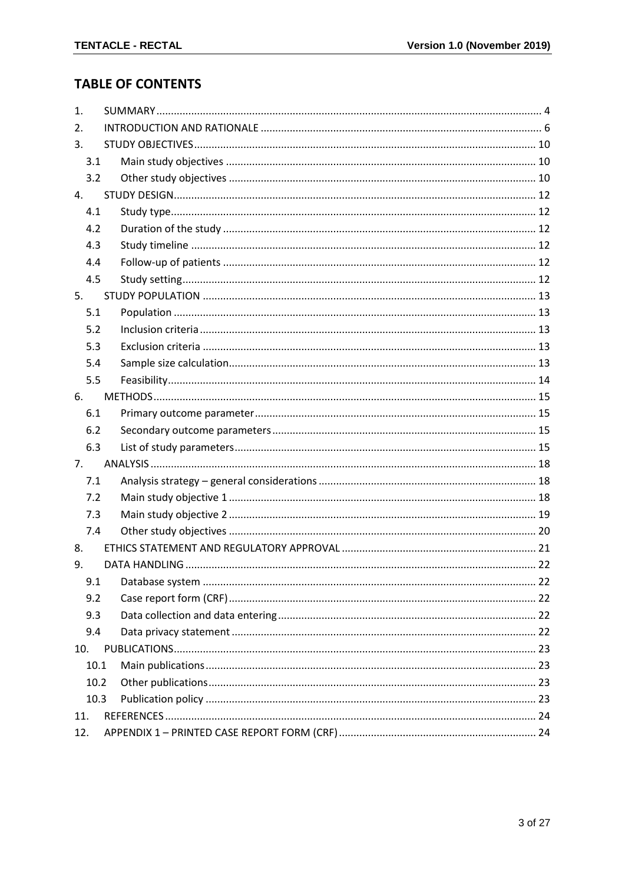# **TABLE OF CONTENTS**

| 1.   |  |
|------|--|
| 2.   |  |
| 3.   |  |
| 3.1  |  |
| 3.2  |  |
| 4.   |  |
| 4.1  |  |
| 4.2  |  |
| 4.3  |  |
| 4.4  |  |
| 4.5  |  |
| 5.   |  |
| 5.1  |  |
| 5.2  |  |
| 5.3  |  |
| 5.4  |  |
| 5.5  |  |
| 6.   |  |
| 6.1  |  |
| 6.2  |  |
| 6.3  |  |
| 7.   |  |
| 7.1  |  |
| 7.2  |  |
| 7.3  |  |
| 7.4  |  |
| 8.   |  |
| 9.   |  |
| 9.1  |  |
| 9.2  |  |
| 9.3  |  |
| 9.4  |  |
| 10.  |  |
| 10.1 |  |
| 10.2 |  |
| 10.3 |  |
| 11.  |  |
| 12.  |  |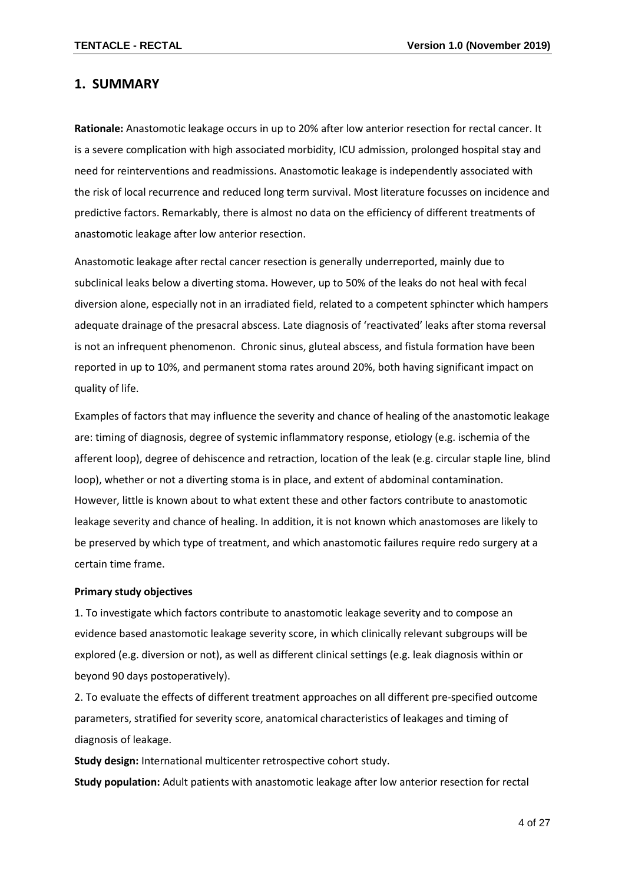## <span id="page-3-0"></span>**1. SUMMARY**

**Rationale:** Anastomotic leakage occurs in up to 20% after low anterior resection for rectal cancer. It is a severe complication with high associated morbidity, ICU admission, prolonged hospital stay and need for reinterventions and readmissions. Anastomotic leakage is independently associated with the risk of local recurrence and reduced long term survival. Most literature focusses on incidence and predictive factors. Remarkably, there is almost no data on the efficiency of different treatments of anastomotic leakage after low anterior resection.

Anastomotic leakage after rectal cancer resection is generally underreported, mainly due to subclinical leaks below a diverting stoma. However, up to 50% of the leaks do not heal with fecal diversion alone, especially not in an irradiated field, related to a competent sphincter which hampers adequate drainage of the presacral abscess. Late diagnosis of 'reactivated' leaks after stoma reversal is not an infrequent phenomenon. Chronic sinus, gluteal abscess, and fistula formation have been reported in up to 10%, and permanent stoma rates around 20%, both having significant impact on quality of life.

Examples of factors that may influence the severity and chance of healing of the anastomotic leakage are: timing of diagnosis, degree of systemic inflammatory response, etiology (e.g. ischemia of the afferent loop), degree of dehiscence and retraction, location of the leak (e.g. circular staple line, blind loop), whether or not a diverting stoma is in place, and extent of abdominal contamination. However, little is known about to what extent these and other factors contribute to anastomotic leakage severity and chance of healing. In addition, it is not known which anastomoses are likely to be preserved by which type of treatment, and which anastomotic failures require redo surgery at a certain time frame.

#### **Primary study objectives**

1. To investigate which factors contribute to anastomotic leakage severity and to compose an evidence based anastomotic leakage severity score, in which clinically relevant subgroups will be explored (e.g. diversion or not), as well as different clinical settings (e.g. leak diagnosis within or beyond 90 days postoperatively).

2. To evaluate the effects of different treatment approaches on all different pre-specified outcome parameters, stratified for severity score, anatomical characteristics of leakages and timing of diagnosis of leakage.

**Study design:** International multicenter retrospective cohort study. **Study population:** Adult patients with anastomotic leakage after low anterior resection for rectal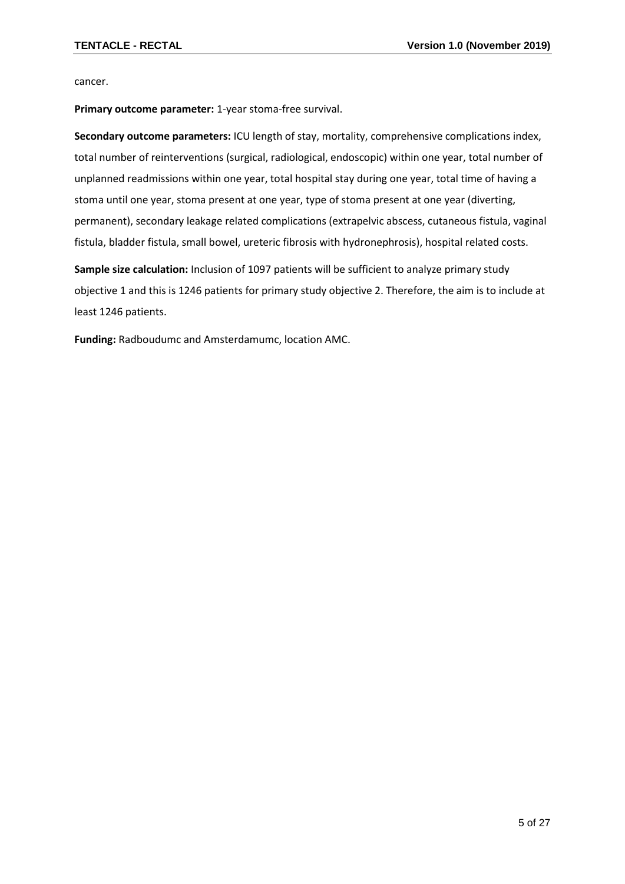cancer.

**Primary outcome parameter:** 1-year stoma-free survival.

**Secondary outcome parameters:** ICU length of stay, mortality, comprehensive complications index, total number of reinterventions (surgical, radiological, endoscopic) within one year, total number of unplanned readmissions within one year, total hospital stay during one year, total time of having a stoma until one year, stoma present at one year, type of stoma present at one year (diverting, permanent), secondary leakage related complications (extrapelvic abscess, cutaneous fistula, vaginal fistula, bladder fistula, small bowel, ureteric fibrosis with hydronephrosis), hospital related costs.

**Sample size calculation:** Inclusion of 1097 patients will be sufficient to analyze primary study objective 1 and this is 1246 patients for primary study objective 2. Therefore, the aim is to include at least 1246 patients.

<span id="page-4-0"></span>**Funding:** Radboudumc and Amsterdamumc, location AMC.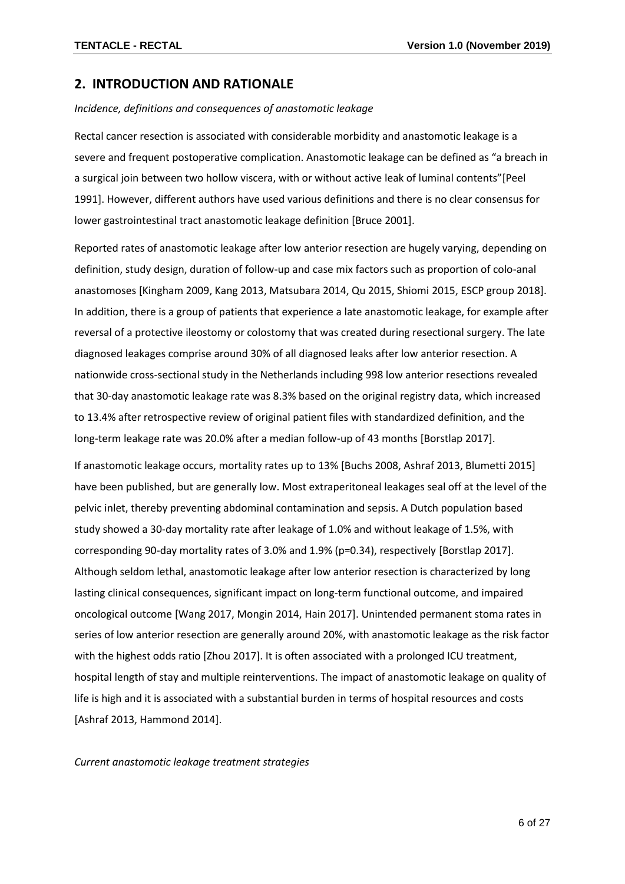## **2. INTRODUCTION AND RATIONALE**

*Incidence, definitions and consequences of anastomotic leakage*

Rectal cancer resection is associated with considerable morbidity and anastomotic leakage is a severe and frequent postoperative complication. Anastomotic leakage can be defined as "a breach in a surgical join between two hollow viscera, with or without active leak of luminal contents"[Peel 1991]. However, different authors have used various definitions and there is no clear consensus for lower gastrointestinal tract anastomotic leakage definition [Bruce 2001].

Reported rates of anastomotic leakage after low anterior resection are hugely varying, depending on definition, study design, duration of follow-up and case mix factors such as proportion of colo-anal anastomoses [Kingham 2009, Kang 2013, Matsubara 2014, Qu 2015, Shiomi 2015, ESCP group 2018]. In addition, there is a group of patients that experience a late anastomotic leakage, for example after reversal of a protective ileostomy or colostomy that was created during resectional surgery. The late diagnosed leakages comprise around 30% of all diagnosed leaks after low anterior resection. A nationwide cross-sectional study in the Netherlands including 998 low anterior resections revealed that 30-day anastomotic leakage rate was 8.3% based on the original registry data, which increased to 13.4% after retrospective review of original patient files with standardized definition, and the long-term leakage rate was 20.0% after a median follow-up of 43 months [Borstlap 2017].

If anastomotic leakage occurs, mortality rates up to 13% [Buchs 2008, Ashraf 2013, Blumetti 2015] have been published, but are generally low. Most extraperitoneal leakages seal off at the level of the pelvic inlet, thereby preventing abdominal contamination and sepsis. A Dutch population based study showed a 30-day mortality rate after leakage of 1.0% and without leakage of 1.5%, with corresponding 90-day mortality rates of 3.0% and 1.9% (p=0.34), respectively [Borstlap 2017]. Although seldom lethal, anastomotic leakage after low anterior resection is characterized by long lasting clinical consequences, significant impact on long-term functional outcome, and impaired oncological outcome [Wang 2017, Mongin 2014, Hain 2017]. Unintended permanent stoma rates in series of low anterior resection are generally around 20%, with anastomotic leakage as the risk factor with the highest odds ratio [Zhou 2017]. It is often associated with a prolonged ICU treatment, hospital length of stay and multiple reinterventions. The impact of anastomotic leakage on quality of life is high and it is associated with a substantial burden in terms of hospital resources and costs [Ashraf 2013, Hammond 2014].

*Current anastomotic leakage treatment strategies*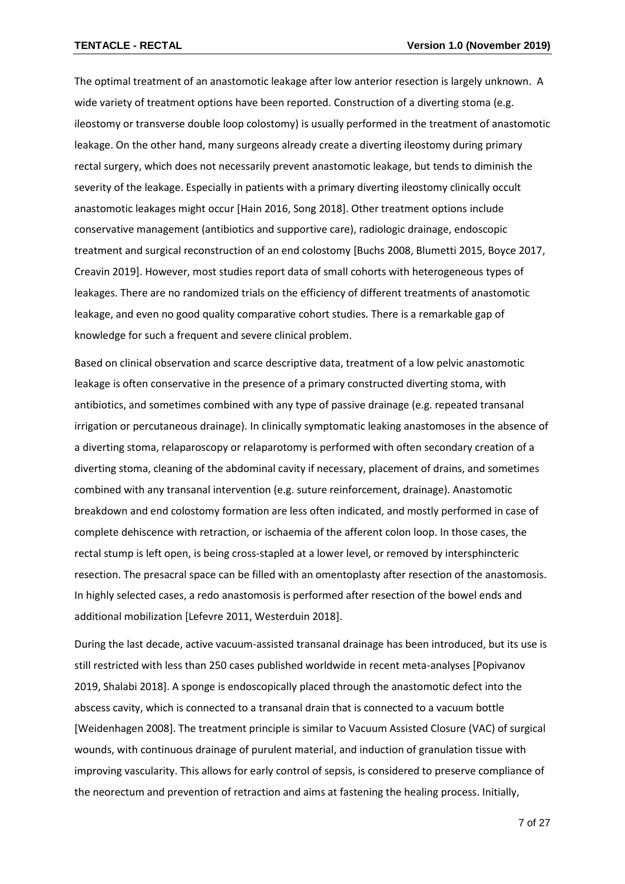The optimal treatment of an anastomotic leakage after low anterior resection is largely unknown. A wide variety of treatment options have been reported. Construction of a diverting stoma (e.g. ileostomy or transverse double loop colostomy) is usually performed in the treatment of anastomotic leakage. On the other hand, many surgeons already create a diverting ileostomy during primary rectal surgery, which does not necessarily prevent anastomotic leakage, but tends to diminish the severity of the leakage. Especially in patients with a primary diverting ileostomy clinically occult anastomotic leakages might occur [Hain 2016, Song 2018]. Other treatment options include conservative management (antibiotics and supportive care), radiologic drainage, endoscopic treatment and surgical reconstruction of an end colostomy [Buchs 2008, Blumetti 2015, Boyce 2017, Creavin 2019]. However, most studies report data of small cohorts with heterogeneous types of leakages. There are no randomized trials on the efficiency of different treatments of anastomotic leakage, and even no good quality comparative cohort studies. There is a remarkable gap of knowledge for such a frequent and severe clinical problem.

Based on clinical observation and scarce descriptive data, treatment of a low pelvic anastomotic leakage is often conservative in the presence of a primary constructed diverting stoma, with antibiotics, and sometimes combined with any type of passive drainage (e.g. repeated transanal irrigation or percutaneous drainage). In clinically symptomatic leaking anastomoses in the absence of a diverting stoma, relaparoscopy or relaparotomy is performed with often secondary creation of a diverting stoma, cleaning of the abdominal cavity if necessary, placement of drains, and sometimes combined with any transanal intervention (e.g. suture reinforcement, drainage). Anastomotic breakdown and end colostomy formation are less often indicated, and mostly performed in case of complete dehiscence with retraction, or ischaemia of the afferent colon loop. In those cases, the rectal stump is left open, is being cross-stapled at a lower level, or removed by intersphincteric resection. The presacral space can be filled with an omentoplasty after resection of the anastomosis. In highly selected cases, a redo anastomosis is performed after resection of the bowel ends and additional mobilization [Lefevre 2011, Westerduin 2018].

During the last decade, active vacuum-assisted transanal drainage has been introduced, but its use is still restricted with less than 250 cases published worldwide in recent meta-analyses [Popivanov 2019, Shalabi 2018]. A sponge is endoscopically placed through the anastomotic defect into the abscess cavity, which is connected to a transanal drain that is connected to a vacuum bottle [Weidenhagen 2008]. The treatment principle is similar to Vacuum Assisted Closure (VAC) of surgical wounds, with continuous drainage of purulent material, and induction of granulation tissue with improving vascularity. This allows for early control of sepsis, is considered to preserve compliance of the neorectum and prevention of retraction and aims at fastening the healing process. Initially,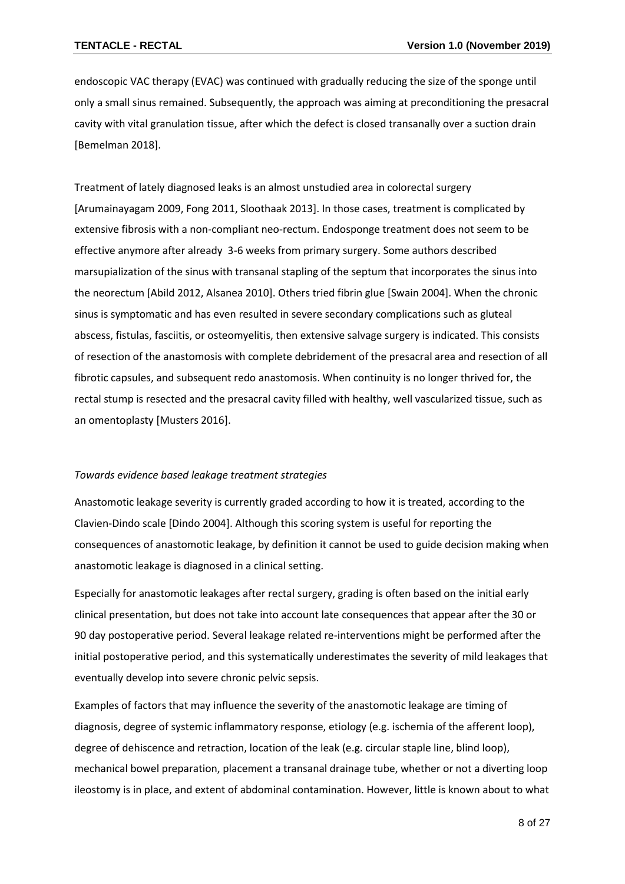endoscopic VAC therapy (EVAC) was continued with gradually reducing the size of the sponge until only a small sinus remained. Subsequently, the approach was aiming at preconditioning the presacral cavity with vital granulation tissue, after which the defect is closed transanally over a suction drain [Bemelman 2018].

Treatment of lately diagnosed leaks is an almost unstudied area in colorectal surgery [Arumainayagam 2009, Fong 2011, Sloothaak 2013]. In those cases, treatment is complicated by extensive fibrosis with a non-compliant neo-rectum. Endosponge treatment does not seem to be effective anymore after already 3-6 weeks from primary surgery. Some authors described marsupialization of the sinus with transanal stapling of the septum that incorporates the sinus into the neorectum [Abild 2012, Alsanea 2010]. Others tried fibrin glue [Swain 2004]. When the chronic sinus is symptomatic and has even resulted in severe secondary complications such as gluteal abscess, fistulas, fasciitis, or osteomyelitis, then extensive salvage surgery is indicated. This consists of resection of the anastomosis with complete debridement of the presacral area and resection of all fibrotic capsules, and subsequent redo anastomosis. When continuity is no longer thrived for, the rectal stump is resected and the presacral cavity filled with healthy, well vascularized tissue, such as an omentoplasty [Musters 2016].

#### *Towards evidence based leakage treatment strategies*

Anastomotic leakage severity is currently graded according to how it is treated, according to the Clavien-Dindo scale [Dindo 2004]. Although this scoring system is useful for reporting the consequences of anastomotic leakage, by definition it cannot be used to guide decision making when anastomotic leakage is diagnosed in a clinical setting.

Especially for anastomotic leakages after rectal surgery, grading is often based on the initial early clinical presentation, but does not take into account late consequences that appear after the 30 or 90 day postoperative period. Several leakage related re-interventions might be performed after the initial postoperative period, and this systematically underestimates the severity of mild leakages that eventually develop into severe chronic pelvic sepsis.

Examples of factors that may influence the severity of the anastomotic leakage are timing of diagnosis, degree of systemic inflammatory response, etiology (e.g. ischemia of the afferent loop), degree of dehiscence and retraction, location of the leak (e.g. circular staple line, blind loop), mechanical bowel preparation, placement a transanal drainage tube, whether or not a diverting loop ileostomy is in place, and extent of abdominal contamination. However, little is known about to what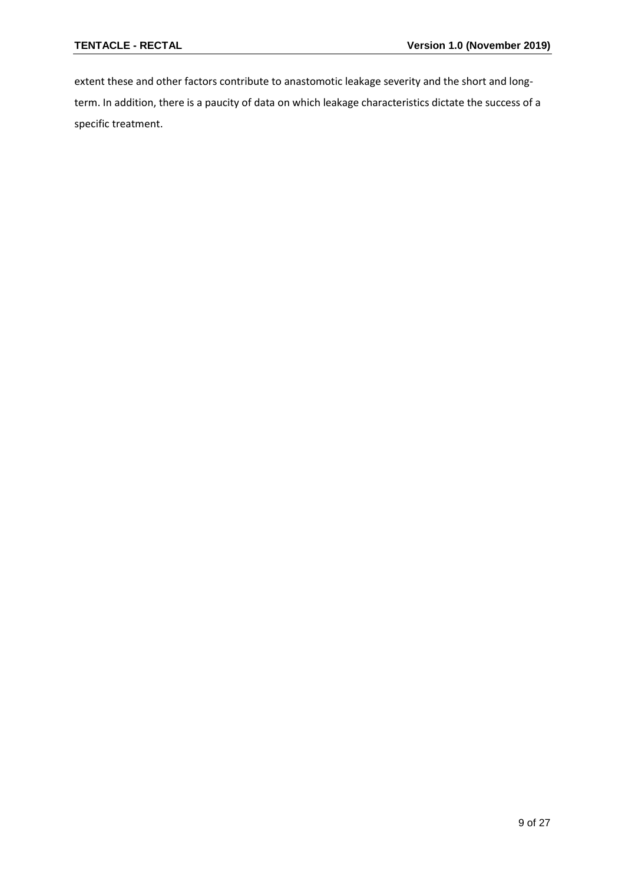extent these and other factors contribute to anastomotic leakage severity and the short and longterm. In addition, there is a paucity of data on which leakage characteristics dictate the success of a specific treatment.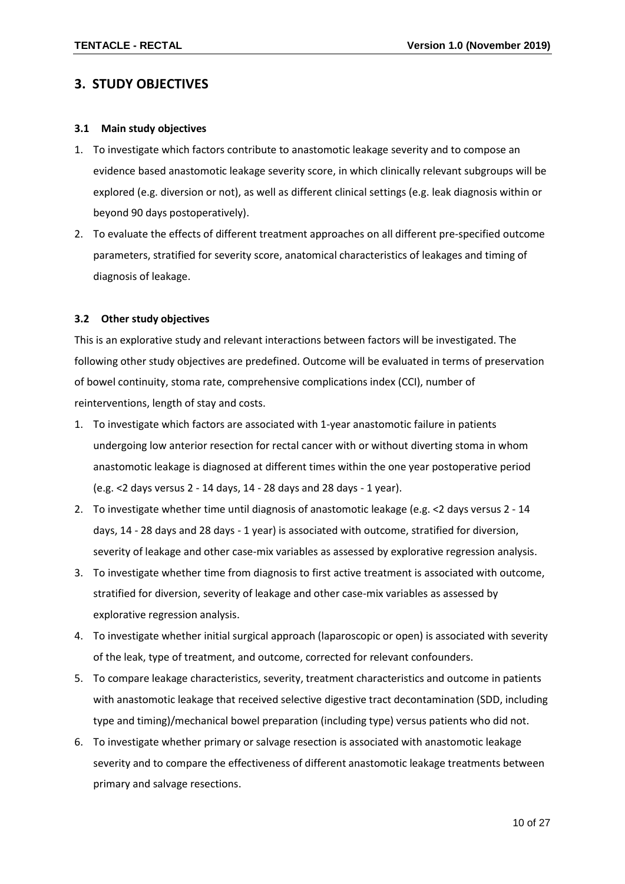## <span id="page-9-0"></span>**3. STUDY OBJECTIVES**

#### <span id="page-9-1"></span>**3.1 Main study objectives**

- 1. To investigate which factors contribute to anastomotic leakage severity and to compose an evidence based anastomotic leakage severity score, in which clinically relevant subgroups will be explored (e.g. diversion or not), as well as different clinical settings (e.g. leak diagnosis within or beyond 90 days postoperatively).
- 2. To evaluate the effects of different treatment approaches on all different pre-specified outcome parameters, stratified for severity score, anatomical characteristics of leakages and timing of diagnosis of leakage.

#### <span id="page-9-2"></span>**3.2 Other study objectives**

This is an explorative study and relevant interactions between factors will be investigated. The following other study objectives are predefined. Outcome will be evaluated in terms of preservation of bowel continuity, stoma rate, comprehensive complications index (CCI), number of reinterventions, length of stay and costs.

- 1. To investigate which factors are associated with 1-year anastomotic failure in patients undergoing low anterior resection for rectal cancer with or without diverting stoma in whom anastomotic leakage is diagnosed at different times within the one year postoperative period (e.g. <2 days versus 2 - 14 days, 14 - 28 days and 28 days - 1 year).
- 2. To investigate whether time until diagnosis of anastomotic leakage (e.g. <2 days versus 2 14 days, 14 - 28 days and 28 days - 1 year) is associated with outcome, stratified for diversion, severity of leakage and other case-mix variables as assessed by explorative regression analysis.
- 3. To investigate whether time from diagnosis to first active treatment is associated with outcome, stratified for diversion, severity of leakage and other case-mix variables as assessed by explorative regression analysis.
- 4. To investigate whether initial surgical approach (laparoscopic or open) is associated with severity of the leak, type of treatment, and outcome, corrected for relevant confounders.
- 5. To compare leakage characteristics, severity, treatment characteristics and outcome in patients with anastomotic leakage that received selective digestive tract decontamination (SDD, including type and timing)/mechanical bowel preparation (including type) versus patients who did not.
- 6. To investigate whether primary or salvage resection is associated with anastomotic leakage severity and to compare the effectiveness of different anastomotic leakage treatments between primary and salvage resections.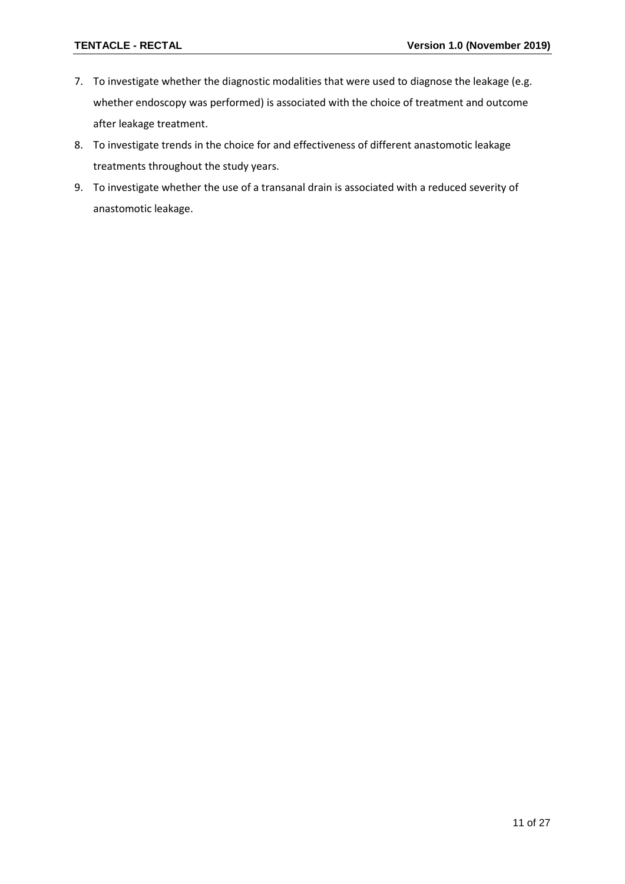- 7. To investigate whether the diagnostic modalities that were used to diagnose the leakage (e.g. whether endoscopy was performed) is associated with the choice of treatment and outcome after leakage treatment.
- 8. To investigate trends in the choice for and effectiveness of different anastomotic leakage treatments throughout the study years.
- 9. To investigate whether the use of a transanal drain is associated with a reduced severity of anastomotic leakage.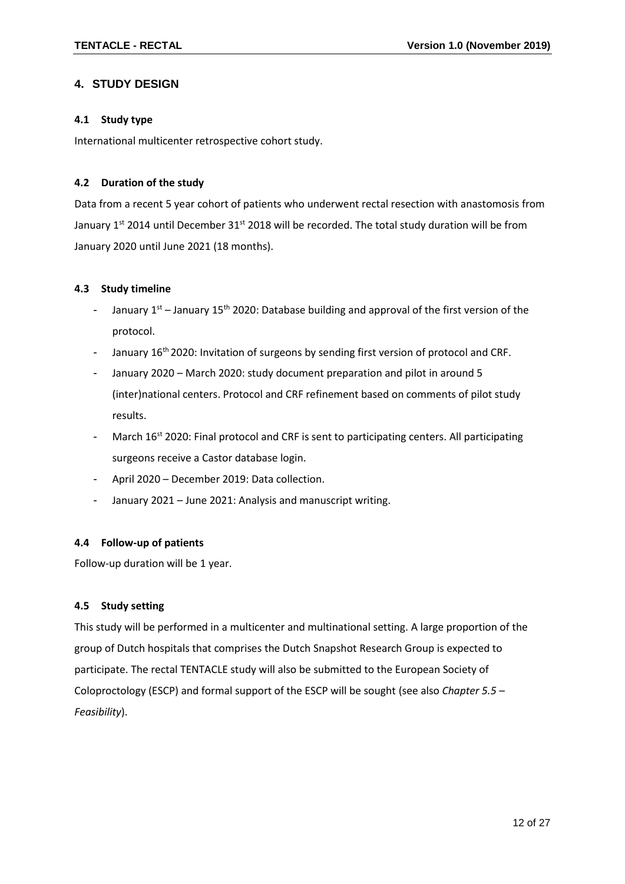### <span id="page-11-0"></span>**4. STUDY DESIGN**

#### <span id="page-11-1"></span>**4.1 Study type**

International multicenter retrospective cohort study.

#### <span id="page-11-2"></span>**4.2 Duration of the study**

Data from a recent 5 year cohort of patients who underwent rectal resection with anastomosis from January 1<sup>st</sup> 2014 until December 31<sup>st</sup> 2018 will be recorded. The total study duration will be from January 2020 until June 2021 (18 months).

#### <span id="page-11-3"></span>**4.3 Study timeline**

- January  $1^{st}$  January 15<sup>th</sup> 2020: Database building and approval of the first version of the protocol.
- January 16<sup>th</sup> 2020: Invitation of surgeons by sending first version of protocol and CRF.
- January 2020 March 2020: study document preparation and pilot in around 5 (inter)national centers. Protocol and CRF refinement based on comments of pilot study results.
- March 16<sup>st</sup> 2020: Final protocol and CRF is sent to participating centers. All participating surgeons receive a Castor database login.
- April 2020 December 2019: Data collection.
- January 2021 June 2021: Analysis and manuscript writing.

#### <span id="page-11-4"></span>**4.4 Follow-up of patients**

Follow-up duration will be 1 year.

#### <span id="page-11-5"></span>**4.5 Study setting**

This study will be performed in a multicenter and multinational setting. A large proportion of the group of Dutch hospitals that comprises the Dutch Snapshot Research Group is expected to participate. The rectal TENTACLE study will also be submitted to the European Society of Coloproctology (ESCP) and formal support of the ESCP will be sought (see also *Chapter 5.5 – Feasibility*).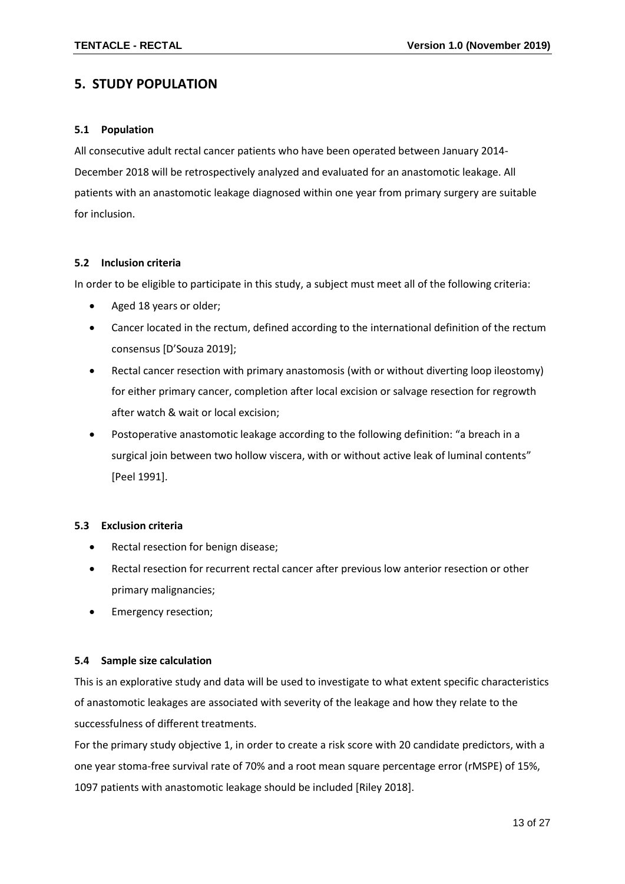## <span id="page-12-0"></span>**5. STUDY POPULATION**

#### <span id="page-12-1"></span>**5.1 Population**

All consecutive adult rectal cancer patients who have been operated between January 2014- December 2018 will be retrospectively analyzed and evaluated for an anastomotic leakage. All patients with an anastomotic leakage diagnosed within one year from primary surgery are suitable for inclusion.

#### <span id="page-12-2"></span>**5.2 Inclusion criteria**

In order to be eligible to participate in this study, a subject must meet all of the following criteria:

- Aged 18 years or older;
- Cancer located in the rectum, defined according to the international definition of the rectum consensus [D'Souza 2019];
- Rectal cancer resection with primary anastomosis (with or without diverting loop ileostomy) for either primary cancer, completion after local excision or salvage resection for regrowth after watch & wait or local excision;
- Postoperative anastomotic leakage according to the following definition: "a breach in a surgical join between two hollow viscera, with or without active leak of luminal contents" [Peel 1991].

#### <span id="page-12-3"></span>**5.3 Exclusion criteria**

- Rectal resection for benign disease;
- Rectal resection for recurrent rectal cancer after previous low anterior resection or other primary malignancies;
- Emergency resection;

#### <span id="page-12-4"></span>**5.4 Sample size calculation**

This is an explorative study and data will be used to investigate to what extent specific characteristics of anastomotic leakages are associated with severity of the leakage and how they relate to the successfulness of different treatments.

For the primary study objective 1, in order to create a risk score with 20 candidate predictors, with a one year stoma-free survival rate of 70% and a root mean square percentage error (rMSPE) of 15%, 1097 patients with anastomotic leakage should be included [Riley 2018].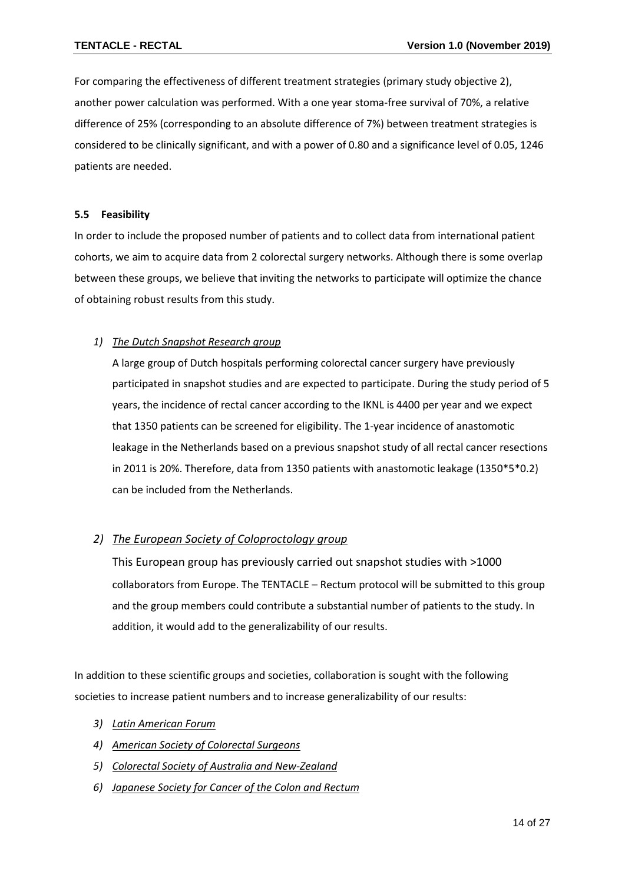For comparing the effectiveness of different treatment strategies (primary study objective 2), another power calculation was performed. With a one year stoma-free survival of 70%, a relative difference of 25% (corresponding to an absolute difference of 7%) between treatment strategies is considered to be clinically significant, and with a power of 0.80 and a significance level of 0.05, 1246 patients are needed.

#### <span id="page-13-0"></span>**5.5 Feasibility**

In order to include the proposed number of patients and to collect data from international patient cohorts, we aim to acquire data from 2 colorectal surgery networks. Although there is some overlap between these groups, we believe that inviting the networks to participate will optimize the chance of obtaining robust results from this study.

#### *1) The Dutch Snapshot Research group*

A large group of Dutch hospitals performing colorectal cancer surgery have previously participated in snapshot studies and are expected to participate. During the study period of 5 years, the incidence of rectal cancer according to the IKNL is 4400 per year and we expect that 1350 patients can be screened for eligibility. The 1-year incidence of anastomotic leakage in the Netherlands based on a previous snapshot study of all rectal cancer resections in 2011 is 20%. Therefore, data from 1350 patients with anastomotic leakage (1350\*5\*0.2) can be included from the Netherlands.

#### *2) The European Society of Coloproctology group*

This European group has previously carried out snapshot studies with >1000 collaborators from Europe. The TENTACLE – Rectum protocol will be submitted to this group and the group members could contribute a substantial number of patients to the study. In addition, it would add to the generalizability of our results.

In addition to these scientific groups and societies, collaboration is sought with the following societies to increase patient numbers and to increase generalizability of our results:

- *3) Latin American Forum*
- *4) American Society of Colorectal Surgeons*
- *5) Colorectal Society of Australia and New-Zealand*
- *6) Japanese Society for Cancer of the Colon and Rectum*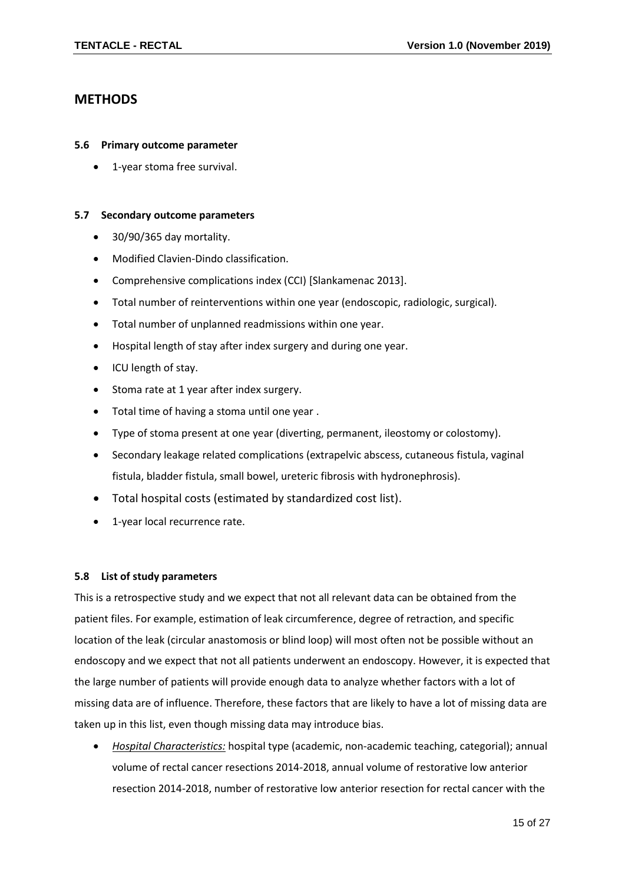## <span id="page-14-0"></span>**METHODS**

#### <span id="page-14-1"></span>**5.6 Primary outcome parameter**

• 1-year stoma free survival.

#### <span id="page-14-2"></span>**5.7 Secondary outcome parameters**

- 30/90/365 day mortality.
- Modified Clavien-Dindo classification.
- Comprehensive complications index (CCI) [Slankamenac 2013].
- Total number of reinterventions within one year (endoscopic, radiologic, surgical).
- Total number of unplanned readmissions within one year.
- Hospital length of stay after index surgery and during one year.
- ICU length of stay.
- Stoma rate at 1 year after index surgery.
- Total time of having a stoma until one year .
- Type of stoma present at one year (diverting, permanent, ileostomy or colostomy).
- Secondary leakage related complications (extrapelvic abscess, cutaneous fistula, vaginal fistula, bladder fistula, small bowel, ureteric fibrosis with hydronephrosis).
- Total hospital costs (estimated by standardized cost list).
- 1-year local recurrence rate.

#### <span id="page-14-3"></span>**5.8 List of study parameters**

This is a retrospective study and we expect that not all relevant data can be obtained from the patient files. For example, estimation of leak circumference, degree of retraction, and specific location of the leak (circular anastomosis or blind loop) will most often not be possible without an endoscopy and we expect that not all patients underwent an endoscopy. However, it is expected that the large number of patients will provide enough data to analyze whether factors with a lot of missing data are of influence. Therefore, these factors that are likely to have a lot of missing data are taken up in this list, even though missing data may introduce bias.

• *Hospital Characteristics:* hospital type (academic, non-academic teaching, categorial); annual volume of rectal cancer resections 2014-2018, annual volume of restorative low anterior resection 2014-2018, number of restorative low anterior resection for rectal cancer with the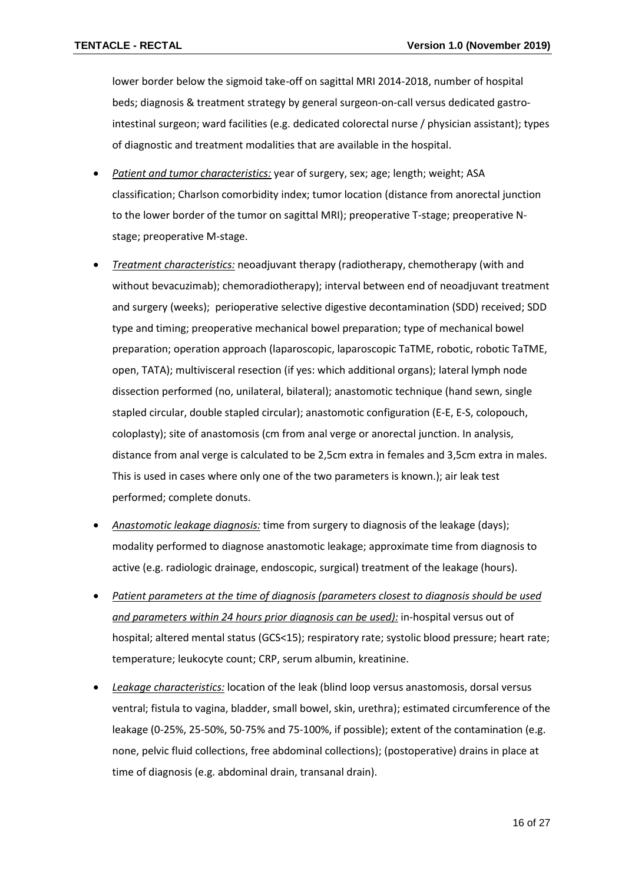lower border below the sigmoid take-off on sagittal MRI 2014-2018, number of hospital beds; diagnosis & treatment strategy by general surgeon-on-call versus dedicated gastrointestinal surgeon; ward facilities (e.g. dedicated colorectal nurse / physician assistant); types of diagnostic and treatment modalities that are available in the hospital.

- *Patient and tumor characteristics:* year of surgery, sex; age; length; weight; ASA classification; Charlson comorbidity index; tumor location (distance from anorectal junction to the lower border of the tumor on sagittal MRI); preoperative T-stage; preoperative Nstage; preoperative M-stage.
- *Treatment characteristics:* neoadjuvant therapy (radiotherapy, chemotherapy (with and without bevacuzimab); chemoradiotherapy); interval between end of neoadjuvant treatment and surgery (weeks); perioperative selective digestive decontamination (SDD) received; SDD type and timing; preoperative mechanical bowel preparation; type of mechanical bowel preparation; operation approach (laparoscopic, laparoscopic TaTME, robotic, robotic TaTME, open, TATA); multivisceral resection (if yes: which additional organs); lateral lymph node dissection performed (no, unilateral, bilateral); anastomotic technique (hand sewn, single stapled circular, double stapled circular); anastomotic configuration (E-E, E-S, colopouch, coloplasty); site of anastomosis (cm from anal verge or anorectal junction. In analysis, distance from anal verge is calculated to be 2,5cm extra in females and 3,5cm extra in males. This is used in cases where only one of the two parameters is known.); air leak test performed; complete donuts.
- *Anastomotic leakage diagnosis:* time from surgery to diagnosis of the leakage (days); modality performed to diagnose anastomotic leakage; approximate time from diagnosis to active (e.g. radiologic drainage, endoscopic, surgical) treatment of the leakage (hours).
- *Patient parameters at the time of diagnosis (parameters closest to diagnosis should be used and parameters within 24 hours prior diagnosis can be used):* in-hospital versus out of hospital; altered mental status (GCS<15); respiratory rate; systolic blood pressure; heart rate; temperature; leukocyte count; CRP, serum albumin, kreatinine.
- *Leakage characteristics:* location of the leak (blind loop versus anastomosis, dorsal versus ventral; fistula to vagina, bladder, small bowel, skin, urethra); estimated circumference of the leakage (0-25%, 25-50%, 50-75% and 75-100%, if possible); extent of the contamination (e.g. none, pelvic fluid collections, free abdominal collections); (postoperative) drains in place at time of diagnosis (e.g. abdominal drain, transanal drain).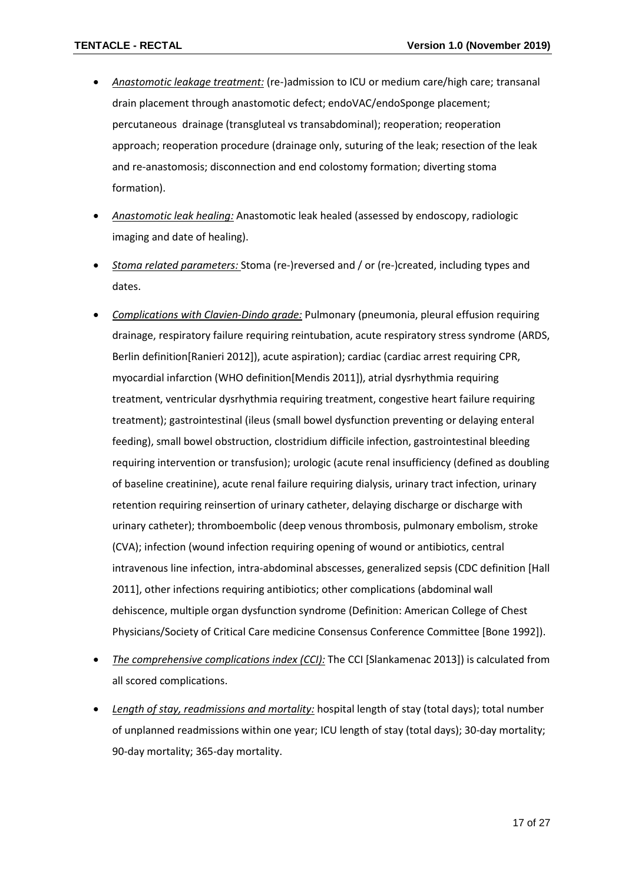- *Anastomotic leakage treatment:* (re-)admission to ICU or medium care/high care; transanal drain placement through anastomotic defect; endoVAC/endoSponge placement; percutaneous drainage (transgluteal vs transabdominal); reoperation; reoperation approach; reoperation procedure (drainage only, suturing of the leak; resection of the leak and re-anastomosis; disconnection and end colostomy formation; diverting stoma formation).
- *Anastomotic leak healing:* Anastomotic leak healed (assessed by endoscopy, radiologic imaging and date of healing).
- *Stoma related parameters:* Stoma (re-)reversed and / or (re-)created, including types and dates.
- *Complications with Clavien-Dindo grade:* Pulmonary (pneumonia, pleural effusion requiring drainage, respiratory failure requiring reintubation, acute respiratory stress syndrome (ARDS, Berlin definition[Ranieri 2012]), acute aspiration); cardiac (cardiac arrest requiring CPR, myocardial infarction (WHO definition[Mendis 2011]), atrial dysrhythmia requiring treatment, ventricular dysrhythmia requiring treatment, congestive heart failure requiring treatment); gastrointestinal (ileus (small bowel dysfunction preventing or delaying enteral feeding), small bowel obstruction, clostridium difficile infection, gastrointestinal bleeding requiring intervention or transfusion); urologic (acute renal insufficiency (defined as doubling of baseline creatinine), acute renal failure requiring dialysis, urinary tract infection, urinary retention requiring reinsertion of urinary catheter, delaying discharge or discharge with urinary catheter); thromboembolic (deep venous thrombosis, pulmonary embolism, stroke (CVA); infection (wound infection requiring opening of wound or antibiotics, central intravenous line infection, intra-abdominal abscesses, generalized sepsis (CDC definition [Hall 2011], other infections requiring antibiotics; other complications (abdominal wall dehiscence, multiple organ dysfunction syndrome (Definition: American College of Chest Physicians/Society of Critical Care medicine Consensus Conference Committee [Bone 1992]).
- *The comprehensive complications index (CCI):* The CCI [Slankamenac 2013]) is calculated from all scored complications.
- *Length of stay, readmissions and mortality:* hospital length of stay (total days); total number of unplanned readmissions within one year; ICU length of stay (total days); 30-day mortality; 90-day mortality; 365-day mortality.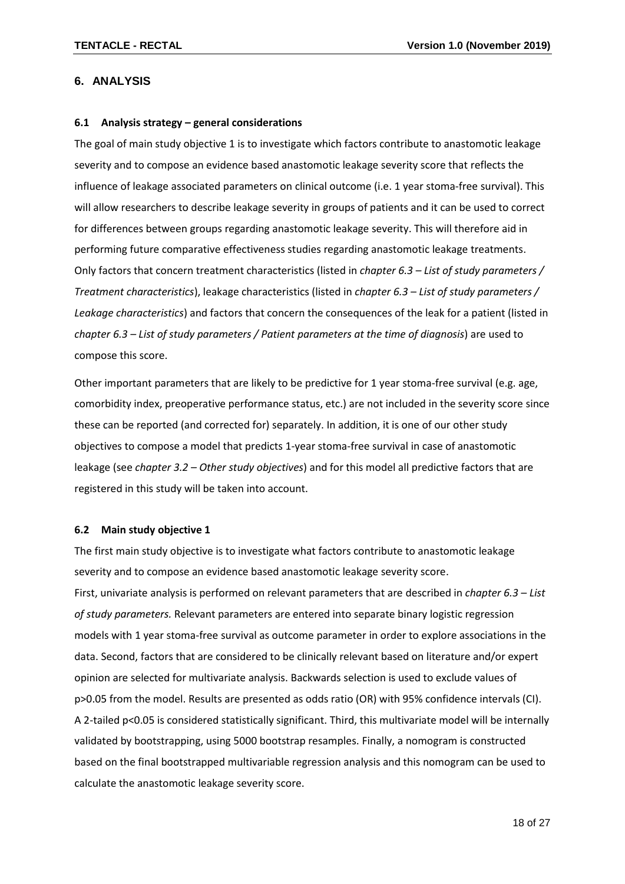#### <span id="page-17-0"></span>**6. ANALYSIS**

#### <span id="page-17-1"></span>**6.1 Analysis strategy – general considerations**

The goal of main study objective 1 is to investigate which factors contribute to anastomotic leakage severity and to compose an evidence based anastomotic leakage severity score that reflects the influence of leakage associated parameters on clinical outcome (i.e. 1 year stoma-free survival). This will allow researchers to describe leakage severity in groups of patients and it can be used to correct for differences between groups regarding anastomotic leakage severity. This will therefore aid in performing future comparative effectiveness studies regarding anastomotic leakage treatments. Only factors that concern treatment characteristics (listed in *chapter 6.3 – List of study parameters / Treatment characteristics*), leakage characteristics (listed in *chapter 6.3 – List of study parameters / Leakage characteristics*) and factors that concern the consequences of the leak for a patient (listed in *chapter 6.3 – List of study parameters / Patient parameters at the time of diagnosis*) are used to compose this score.

Other important parameters that are likely to be predictive for 1 year stoma-free survival (e.g. age, comorbidity index, preoperative performance status, etc.) are not included in the severity score since these can be reported (and corrected for) separately. In addition, it is one of our other study objectives to compose a model that predicts 1-year stoma-free survival in case of anastomotic leakage (see *chapter 3.2 – Other study objectives*) and for this model all predictive factors that are registered in this study will be taken into account.

#### <span id="page-17-2"></span>**6.2 Main study objective 1**

The first main study objective is to investigate what factors contribute to anastomotic leakage severity and to compose an evidence based anastomotic leakage severity score. First, univariate analysis is performed on relevant parameters that are described in *chapter 6.3 – List of study parameters.* Relevant parameters are entered into separate binary logistic regression models with 1 year stoma-free survival as outcome parameter in order to explore associations in the data. Second, factors that are considered to be clinically relevant based on literature and/or expert opinion are selected for multivariate analysis. Backwards selection is used to exclude values of p>0.05 from the model. Results are presented as odds ratio (OR) with 95% confidence intervals (CI). A 2-tailed p<0.05 is considered statistically significant. Third, this multivariate model will be internally validated by bootstrapping, using 5000 bootstrap resamples. Finally, a nomogram is constructed based on the final bootstrapped multivariable regression analysis and this nomogram can be used to calculate the anastomotic leakage severity score.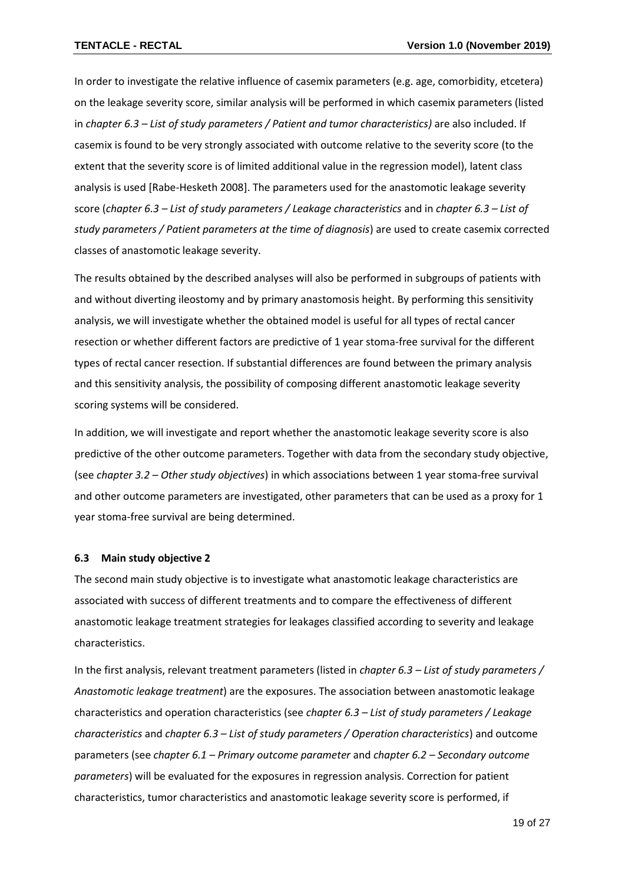In order to investigate the relative influence of casemix parameters (e.g. age, comorbidity, etcetera) on the leakage severity score, similar analysis will be performed in which casemix parameters (listed in *chapter 6.3 – List of study parameters / Patient and tumor characteristics)* are also included. If casemix is found to be very strongly associated with outcome relative to the severity score (to the extent that the severity score is of limited additional value in the regression model), latent class analysis is used [Rabe-Hesketh 2008]. The parameters used for the anastomotic leakage severity score (*chapter 6.3 – List of study parameters / Leakage characteristics* and in *chapter 6.3 – List of study parameters / Patient parameters at the time of diagnosis*) are used to create casemix corrected classes of anastomotic leakage severity.

The results obtained by the described analyses will also be performed in subgroups of patients with and without diverting ileostomy and by primary anastomosis height. By performing this sensitivity analysis, we will investigate whether the obtained model is useful for all types of rectal cancer resection or whether different factors are predictive of 1 year stoma-free survival for the different types of rectal cancer resection. If substantial differences are found between the primary analysis and this sensitivity analysis, the possibility of composing different anastomotic leakage severity scoring systems will be considered.

In addition, we will investigate and report whether the anastomotic leakage severity score is also predictive of the other outcome parameters. Together with data from the secondary study objective, (see *chapter 3.2 – Other study objectives*) in which associations between 1 year stoma-free survival and other outcome parameters are investigated, other parameters that can be used as a proxy for 1 year stoma-free survival are being determined.

#### <span id="page-18-0"></span>**6.3 Main study objective 2**

The second main study objective is to investigate what anastomotic leakage characteristics are associated with success of different treatments and to compare the effectiveness of different anastomotic leakage treatment strategies for leakages classified according to severity and leakage characteristics.

In the first analysis, relevant treatment parameters (listed in *chapter 6.3 – List of study parameters / Anastomotic leakage treatment*) are the exposures. The association between anastomotic leakage characteristics and operation characteristics (see *chapter 6.3 – List of study parameters / Leakage characteristics* and *chapter 6.3 – List of study parameters / Operation characteristics*) and outcome parameters (see *chapter 6.1 – Primary outcome parameter* and *chapter 6.2 – Secondary outcome parameters*) will be evaluated for the exposures in regression analysis. Correction for patient characteristics, tumor characteristics and anastomotic leakage severity score is performed, if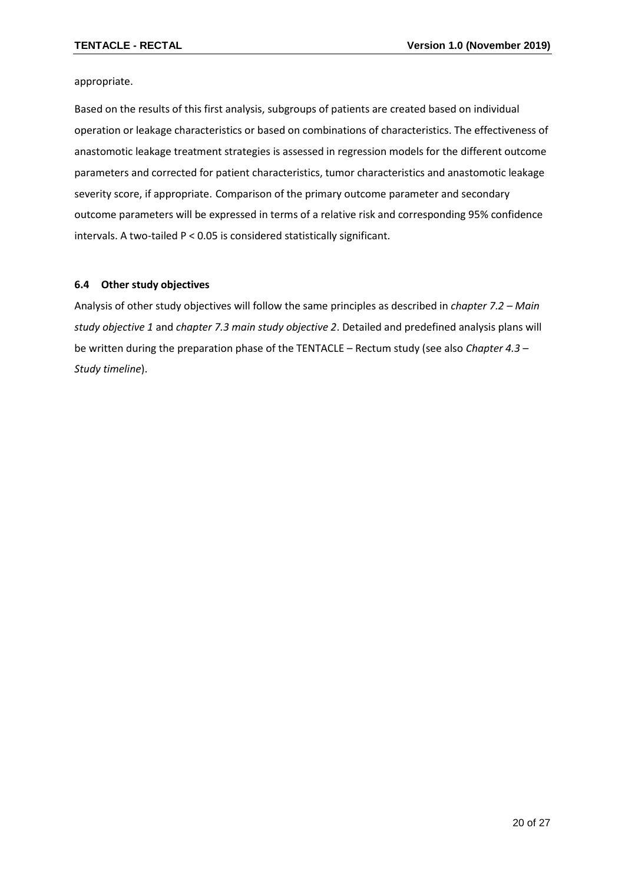appropriate.

Based on the results of this first analysis, subgroups of patients are created based on individual operation or leakage characteristics or based on combinations of characteristics. The effectiveness of anastomotic leakage treatment strategies is assessed in regression models for the different outcome parameters and corrected for patient characteristics, tumor characteristics and anastomotic leakage severity score, if appropriate. Comparison of the primary outcome parameter and secondary outcome parameters will be expressed in terms of a relative risk and corresponding 95% confidence intervals. A two-tailed P < 0.05 is considered statistically significant.

#### <span id="page-19-0"></span>**6.4 Other study objectives**

Analysis of other study objectives will follow the same principles as described in *chapter 7.2 – Main study objective 1* and *chapter 7.3 main study objective 2*. Detailed and predefined analysis plans will be written during the preparation phase of the TENTACLE – Rectum study (see also *Chapter 4.3 – Study timeline*).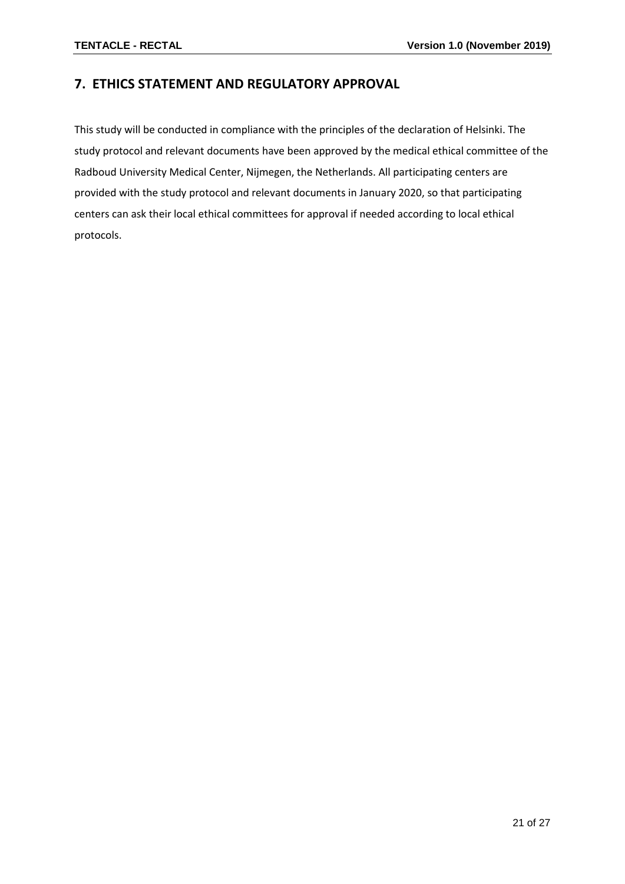## <span id="page-20-0"></span>**7. ETHICS STATEMENT AND REGULATORY APPROVAL**

This study will be conducted in compliance with the principles of the declaration of Helsinki. The study protocol and relevant documents have been approved by the medical ethical committee of the Radboud University Medical Center, Nijmegen, the Netherlands. All participating centers are provided with the study protocol and relevant documents in January 2020, so that participating centers can ask their local ethical committees for approval if needed according to local ethical protocols.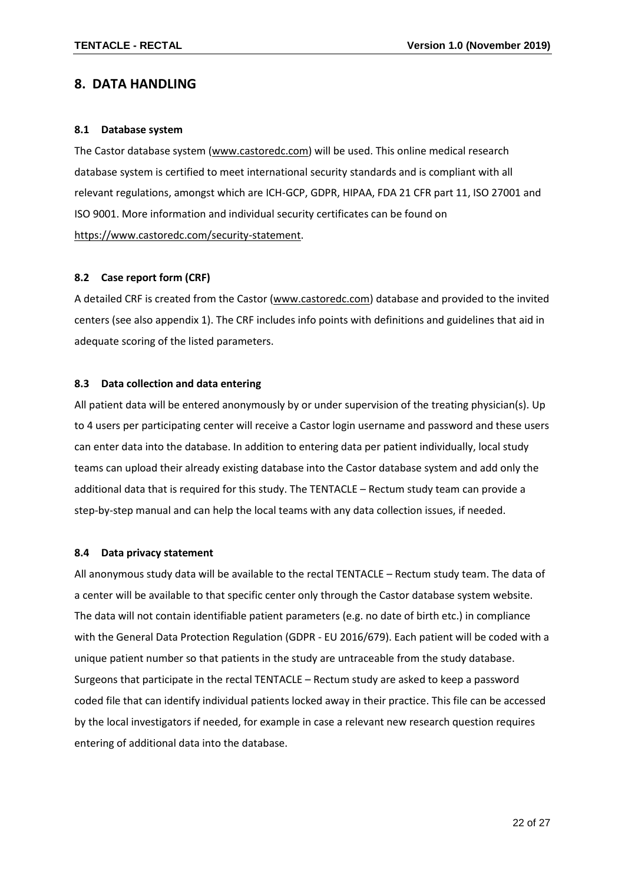## <span id="page-21-0"></span>**8. DATA HANDLING**

#### <span id="page-21-1"></span>**8.1 Database system**

The Castor database system [\(www.castoredc.com\)](http://www.castoredc.com/) will be used. This online medical research database system is certified to meet international security standards and is compliant with all relevant regulations, amongst which are ICH-GCP, GDPR, HIPAA, FDA 21 CFR part 11, ISO 27001 and ISO 9001. More information and individual security certificates can be found on [https://www.castoredc.com/security-statement.](https://www.castoredc.com/security-statement)

#### <span id="page-21-2"></span>**8.2 Case report form (CRF)**

A detailed CRF is created from the Castor [\(www.castoredc.com\)](http://www.castoredc.com/) database and provided to the invited centers (see also appendix 1). The CRF includes info points with definitions and guidelines that aid in adequate scoring of the listed parameters.

#### <span id="page-21-3"></span>**8.3 Data collection and data entering**

All patient data will be entered anonymously by or under supervision of the treating physician(s). Up to 4 users per participating center will receive a Castor login username and password and these users can enter data into the database. In addition to entering data per patient individually, local study teams can upload their already existing database into the Castor database system and add only the additional data that is required for this study. The TENTACLE – Rectum study team can provide a step-by-step manual and can help the local teams with any data collection issues, if needed.

#### <span id="page-21-4"></span>**8.4 Data privacy statement**

All anonymous study data will be available to the rectal TENTACLE – Rectum study team. The data of a center will be available to that specific center only through the Castor database system website. The data will not contain identifiable patient parameters (e.g. no date of birth etc.) in compliance with the General Data Protection Regulation (GDPR - EU 2016/679). Each patient will be coded with a unique patient number so that patients in the study are untraceable from the study database. Surgeons that participate in the rectal TENTACLE – Rectum study are asked to keep a password coded file that can identify individual patients locked away in their practice. This file can be accessed by the local investigators if needed, for example in case a relevant new research question requires entering of additional data into the database.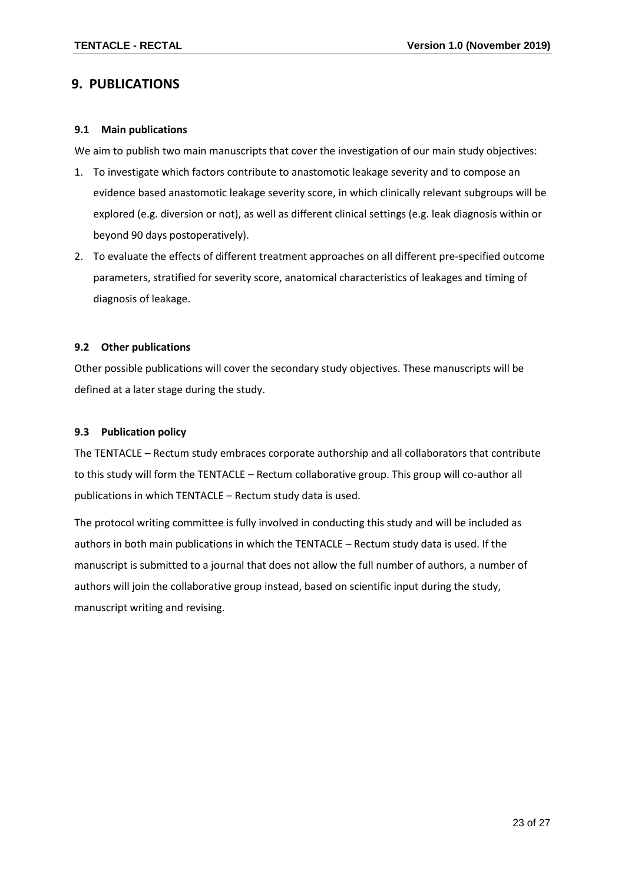## <span id="page-22-0"></span>**9. PUBLICATIONS**

#### <span id="page-22-1"></span>**9.1 Main publications**

We aim to publish two main manuscripts that cover the investigation of our main study objectives:

- 1. To investigate which factors contribute to anastomotic leakage severity and to compose an evidence based anastomotic leakage severity score, in which clinically relevant subgroups will be explored (e.g. diversion or not), as well as different clinical settings (e.g. leak diagnosis within or beyond 90 days postoperatively).
- 2. To evaluate the effects of different treatment approaches on all different pre-specified outcome parameters, stratified for severity score, anatomical characteristics of leakages and timing of diagnosis of leakage.

#### <span id="page-22-2"></span>**9.2 Other publications**

Other possible publications will cover the secondary study objectives. These manuscripts will be defined at a later stage during the study.

#### <span id="page-22-3"></span>**9.3 Publication policy**

The TENTACLE – Rectum study embraces corporate authorship and all collaborators that contribute to this study will form the TENTACLE – Rectum collaborative group. This group will co-author all publications in which TENTACLE – Rectum study data is used.

<span id="page-22-4"></span>The protocol writing committee is fully involved in conducting this study and will be included as authors in both main publications in which the TENTACLE – Rectum study data is used. If the manuscript is submitted to a journal that does not allow the full number of authors, a number of authors will join the collaborative group instead, based on scientific input during the study, manuscript writing and revising.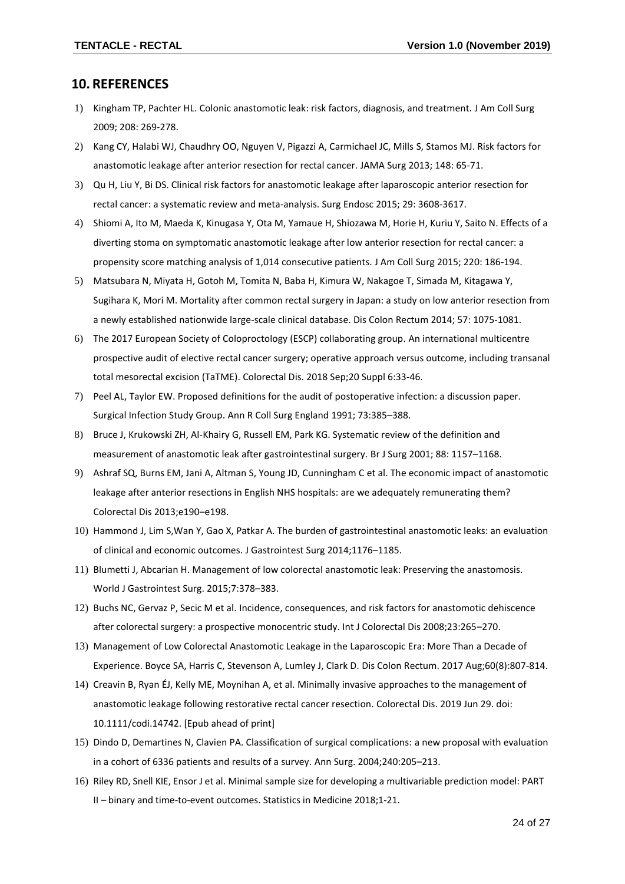#### **10. REFERENCES**

- <span id="page-23-0"></span>1) Kingham TP, Pachter HL. Colonic anastomotic leak: risk factors, diagnosis, and treatment. J Am Coll Surg 2009; 208: 269-278.
- 2) Kang CY, Halabi WJ, Chaudhry OO, Nguyen V, Pigazzi A, Carmichael JC, Mills S, Stamos MJ. Risk factors for anastomotic leakage after anterior resection for rectal cancer. JAMA Surg 2013; 148: 65-71.
- 3) Qu H, Liu Y, Bi DS. Clinical risk factors for anastomotic leakage after laparoscopic anterior resection for rectal cancer: a systematic review and meta-analysis. Surg Endosc 2015; 29: 3608-3617.
- 4) Shiomi A, Ito M, Maeda K, Kinugasa Y, Ota M, Yamaue H, Shiozawa M, Horie H, Kuriu Y, Saito N. Effects of a diverting stoma on symptomatic anastomotic leakage after low anterior resection for rectal cancer: a propensity score matching analysis of 1,014 consecutive patients. J Am Coll Surg 2015; 220: 186-194.
- 5) Matsubara N, Miyata H, Gotoh M, Tomita N, Baba H, Kimura W, Nakagoe T, Simada M, Kitagawa Y, Sugihara K, Mori M. Mortality after common rectal surgery in Japan: a study on low anterior resection from a newly established nationwide large-scale clinical database. Dis Colon Rectum 2014; 57: 1075-1081.
- 6) The 2017 European Society of Coloproctology (ESCP) collaborating group. An international multicentre prospective audit of elective rectal cancer surgery; operative approach versus outcome, including transanal total mesorectal excision (TaTME). Colorectal Dis. 2018 Sep;20 Suppl 6:33-46.
- 7) Peel AL, Taylor EW. Proposed definitions for the audit of postoperative infection: a discussion paper. Surgical Infection Study Group. Ann R Coll Surg England 1991; 73:385–388.
- 8) Bruce J, Krukowski ZH, Al-Khairy G, Russell EM, Park KG. Systematic review of the definition and measurement of anastomotic leak after gastrointestinal surgery. Br J Surg 2001; 88: 1157–1168.
- 9) Ashraf SQ, Burns EM, Jani A, Altman S, Young JD, Cunningham C et al. The economic impact of anastomotic leakage after anterior resections in English NHS hospitals: are we adequately remunerating them? Colorectal Dis 2013;e190–e198.
- 10) Hammond J, Lim S,Wan Y, Gao X, Patkar A. The burden of gastrointestinal anastomotic leaks: an evaluation of clinical and economic outcomes. J Gastrointest Surg 2014;1176–1185.
- 11) Blumetti J, Abcarian H. Management of low colorectal anastomotic leak: Preserving the anastomosis. World J Gastrointest Surg. 2015;7:378–383.
- 12) Buchs NC, Gervaz P, Secic M et al. Incidence, consequences, and risk factors for anastomotic dehiscence after colorectal surgery: a prospective monocentric study. Int J Colorectal Dis 2008;23:265–270.
- 13) Management of Low Colorectal Anastomotic Leakage in the Laparoscopic Era: More Than a Decade of Experience. Boyce SA, Harris C, Stevenson A, Lumley J, Clark D. Dis Colon Rectum. 2017 Aug;60(8):807-814.
- 14) Creavin B, Ryan ÉJ, Kelly ME, Moynihan A, et al. Minimally invasive approaches to the management of anastomotic leakage following restorative rectal cancer resection. Colorectal Dis. 2019 Jun 29. doi: 10.1111/codi.14742. [Epub ahead of print]
- 15) Dindo D, Demartines N, Clavien PA. Classification of surgical complications: a new proposal with evaluation in a cohort of 6336 patients and results of a survey. Ann Surg. 2004;240:205–213.
- 16) Riley RD, Snell KIE, Ensor J et al. Minimal sample size for developing a multivariable prediction model: PART II – binary and time-to-event outcomes. Statistics in Medicine 2018;1-21.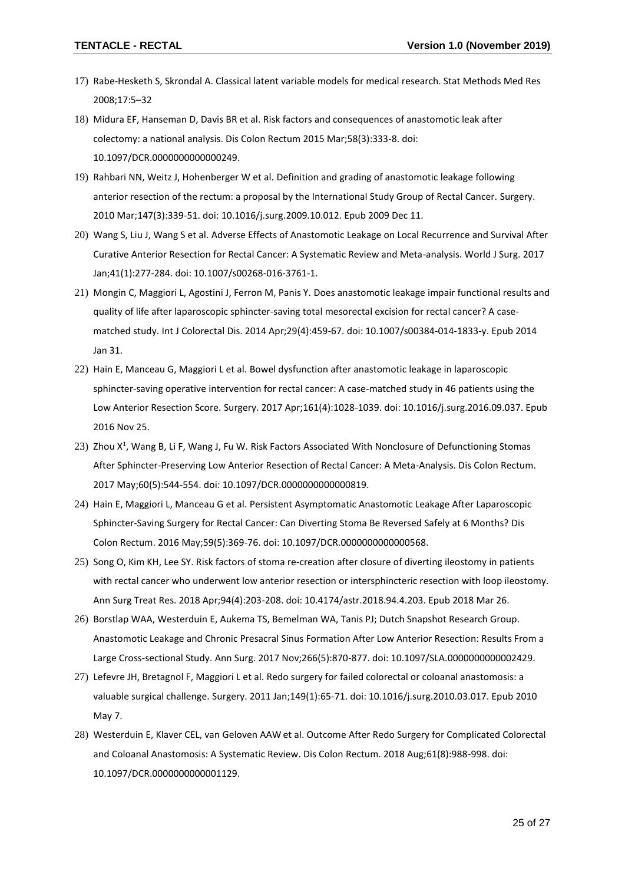- 17) Rabe-Hesketh S, Skrondal A. Classical latent variable models for medical research. Stat Methods Med Res 2008;17:5–32
- 18) Midura EF, Hanseman D, Davis BR et al. Risk factors and consequences of anastomotic leak after colectomy: a national analysis. Dis Colon Rectum 2015 Mar;58(3):333-8. doi: 10.1097/DCR.0000000000000249.
- 19) Rahbari NN, Weitz J, Hohenberger W et al. Definition and grading of anastomotic leakage following anterior resection of the rectum: a proposal by the International Study Group of Rectal Cancer. Surgery. 2010 Mar;147(3):339-51. doi: 10.1016/j.surg.2009.10.012. Epub 2009 Dec 11.
- 20) Wang S, Liu J, Wang S et al. Adverse Effects of Anastomotic Leakage on Local Recurrence and Survival After Curative Anterior Resection for Rectal Cancer: A Systematic Review and Meta-analysis. World J Surg. 2017 Jan;41(1):277-284. doi: 10.1007/s00268-016-3761-1.
- 21) Mongin C, Maggiori L, Agostini J, Ferron M, Panis Y. Does anastomotic leakage impair functional results and quality of life after laparoscopic sphincter-saving total mesorectal excision for rectal cancer? A casematched study. Int J Colorectal Dis. 2014 Apr;29(4):459-67. doi: 10.1007/s00384-014-1833-y. Epub 2014 Jan 31.
- 22) Hain E, Manceau G, Maggiori L et al. Bowel dysfunction after anastomotic leakage in laparoscopic sphincter-saving operative intervention for rectal cancer: A case-matched study in 46 patients using the Low Anterior Resection Score. Surgery. 2017 Apr;161(4):1028-1039. doi: 10.1016/j.surg.2016.09.037. Epub 2016 Nov 25.
- 23) Zhou X<sup>1</sup>, Wang B, Li F, Wang J, Fu W. Risk Factors Associated With Nonclosure of Defunctioning Stomas After Sphincter-Preserving Low Anterior Resection of Rectal Cancer: A Meta-Analysis. Dis Colon Rectum. 2017 May;60(5):544-554. doi: 10.1097/DCR.0000000000000819.
- 24) Hain E, Maggiori L, Manceau G et al. Persistent Asymptomatic Anastomotic Leakage After Laparoscopic Sphincter-Saving Surgery for Rectal Cancer: Can Diverting Stoma Be Reversed Safely at 6 Months? Dis Colon Rectum. 2016 May;59(5):369-76. doi: 10.1097/DCR.0000000000000568.
- 25) Song O, Kim KH, Lee SY. Risk factors of stoma re-creation after closure of diverting ileostomy in patients with rectal cancer who underwent low anterior resection or intersphincteric resection with loop ileostomy. Ann Surg Treat Res. 2018 Apr;94(4):203-208. doi: 10.4174/astr.2018.94.4.203. Epub 2018 Mar 26.
- 26) Borstlap WAA, Westerduin E, Aukema TS, Bemelman WA, Tanis PJ; Dutch Snapshot Research Group. Anastomotic Leakage and Chronic Presacral Sinus Formation After Low Anterior Resection: Results From a Large Cross-sectional Study. Ann Surg. 2017 Nov;266(5):870-877. doi: 10.1097/SLA.0000000000002429.
- 27) Lefevre JH, Bretagnol F, Maggiori L et al. Redo surgery for failed colorectal or coloanal anastomosis: a valuable surgical challenge. Surgery. 2011 Jan;149(1):65-71. doi: 10.1016/j.surg.2010.03.017. Epub 2010 May 7.
- 28) Westerduin E, Klaver CEL, van Geloven AAW et al. Outcome After Redo Surgery for Complicated Colorectal and Coloanal Anastomosis: A Systematic Review. Dis Colon Rectum. 2018 Aug;61(8):988-998. doi: 10.1097/DCR.0000000000001129.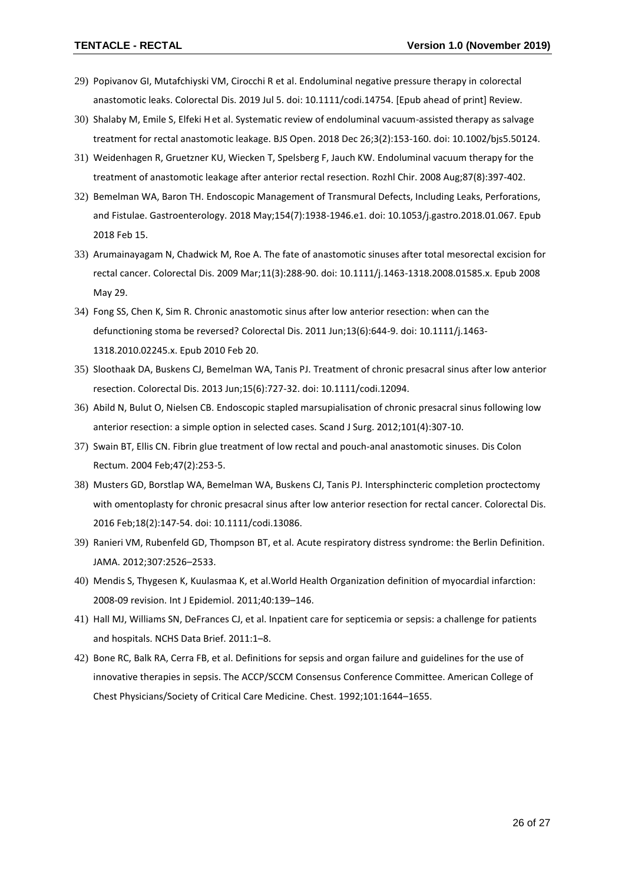- 29) Popivanov GI, Mutafchiyski VM, Cirocchi R et al. Endoluminal negative pressure therapy in colorectal anastomotic leaks. Colorectal Dis. 2019 Jul 5. doi: 10.1111/codi.14754. [Epub ahead of print] Review.
- 30) Shalaby M, Emile S, Elfeki H et al. Systematic review of endoluminal vacuum-assisted therapy as salvage treatment for rectal anastomotic leakage. BJS Open. 2018 Dec 26;3(2):153-160. doi: 10.1002/bjs5.50124.
- 31) Weidenhagen R, Gruetzner KU, Wiecken T, Spelsberg F, Jauch KW. Endoluminal vacuum therapy for the treatment of anastomotic leakage after anterior rectal resection. Rozhl Chir. 2008 Aug;87(8):397-402.
- 32) Bemelman WA, Baron TH. Endoscopic Management of Transmural Defects, Including Leaks, Perforations, and Fistulae. Gastroenterology. 2018 May;154(7):1938-1946.e1. doi: 10.1053/j.gastro.2018.01.067. Epub 2018 Feb 15.
- 33) Arumainayagam N, Chadwick M, Roe A. The fate of anastomotic sinuses after total mesorectal excision for rectal cancer. Colorectal Dis. 2009 Mar;11(3):288-90. doi: 10.1111/j.1463-1318.2008.01585.x. Epub 2008 May 29.
- 34) Fong SS, Chen K, Sim R. Chronic anastomotic sinus after low anterior resection: when can the defunctioning stoma be reversed? Colorectal Dis. 2011 Jun;13(6):644-9. doi: 10.1111/j.1463- 1318.2010.02245.x. Epub 2010 Feb 20.
- 35) Sloothaak DA, Buskens CJ, Bemelman WA, Tanis PJ. Treatment of chronic presacral sinus after low anterior resection. Colorectal Dis. 2013 Jun;15(6):727-32. doi: 10.1111/codi.12094.
- 36) Abild N, Bulut O, Nielsen CB. Endoscopic stapled marsupialisation of chronic presacral sinus following low anterior resection: a simple option in selected cases. Scand J Surg. 2012;101(4):307-10.
- 37) Swain BT, Ellis CN. Fibrin glue treatment of low rectal and pouch-anal anastomotic sinuses. Dis Colon Rectum. 2004 Feb;47(2):253-5.
- 38) Musters GD, Borstlap WA, Bemelman WA, Buskens CJ, Tanis PJ. Intersphincteric completion proctectomy with omentoplasty for chronic presacral sinus after low anterior resection for rectal cancer. Colorectal Dis. 2016 Feb;18(2):147-54. doi: 10.1111/codi.13086.
- 39) Ranieri VM, Rubenfeld GD, Thompson BT, et al. Acute respiratory distress syndrome: the Berlin Definition. JAMA. 2012;307:2526–2533.
- 40) Mendis S, Thygesen K, Kuulasmaa K, et al.World Health Organization definition of myocardial infarction: 2008-09 revision. Int J Epidemiol. 2011;40:139–146.
- 41) Hall MJ, Williams SN, DeFrances CJ, et al. Inpatient care for septicemia or sepsis: a challenge for patients and hospitals. NCHS Data Brief. 2011:1–8.
- 42) Bone RC, Balk RA, Cerra FB, et al. Definitions for sepsis and organ failure and guidelines for the use of innovative therapies in sepsis. The ACCP/SCCM Consensus Conference Committee. American College of Chest Physicians/Society of Critical Care Medicine. Chest. 1992;101:1644–1655.